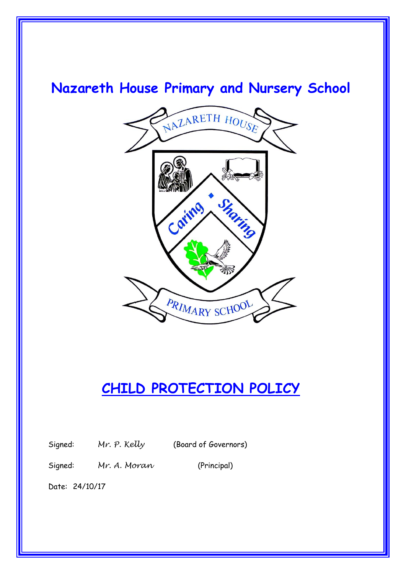# **Nazareth House Primary and Nursery School**



# **CHILD PROTECTION POLICY**

Signed: *Mr. P. Kelly* (Board of Governors)

Signed: *Mr. A. Moran* (Principal)

Date: 24/10/17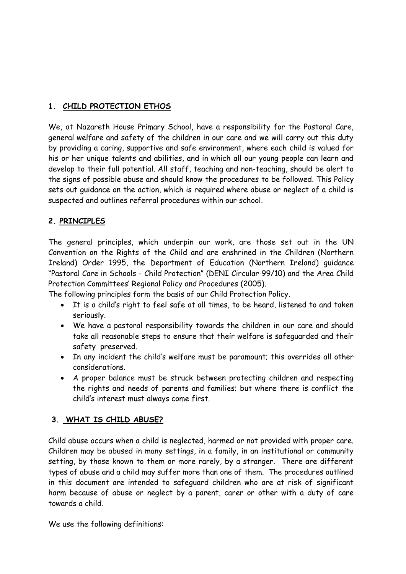#### **1. CHILD PROTECTION ETHOS**

We, at Nazareth House Primary School, have a responsibility for the Pastoral Care, general welfare and safety of the children in our care and we will carry out this duty by providing a caring, supportive and safe environment, where each child is valued for his or her unique talents and abilities, and in which all our young people can learn and develop to their full potential. All staff, teaching and non-teaching, should be alert to the signs of possible abuse and should know the procedures to be followed. This Policy sets out guidance on the action, which is required where abuse or neglect of a child is suspected and outlines referral procedures within our school.

#### **2. PRINCIPLES**

The general principles, which underpin our work, are those set out in the UN Convention on the Rights of the Child and are enshrined in the Children (Northern Ireland) Order 1995, the Department of Education (Northern Ireland) guidance "Pastoral Care in Schools - Child Protection" (DENI Circular 99/10) and the Area Child Protection Committees' Regional Policy and Procedures (2005).

The following principles form the basis of our Child Protection Policy.

- It is a child's right to feel safe at all times, to be heard, listened to and taken seriously.
- We have a pastoral responsibility towards the children in our care and should take all reasonable steps to ensure that their welfare is safeguarded and their safety preserved.
- In any incident the child's welfare must be paramount; this overrides all other considerations.
- A proper balance must be struck between protecting children and respecting the rights and needs of parents and families; but where there is conflict the child's interest must always come first.

#### **3. WHAT IS CHILD ABUSE?**

Child abuse occurs when a child is neglected, harmed or not provided with proper care. Children may be abused in many settings, in a family, in an institutional or community setting, by those known to them or more rarely, by a stranger. There are different types of abuse and a child may suffer more than one of them. The procedures outlined in this document are intended to safeguard children who are at risk of significant harm because of abuse or neglect by a parent, carer or other with a duty of care towards a child.

We use the following definitions: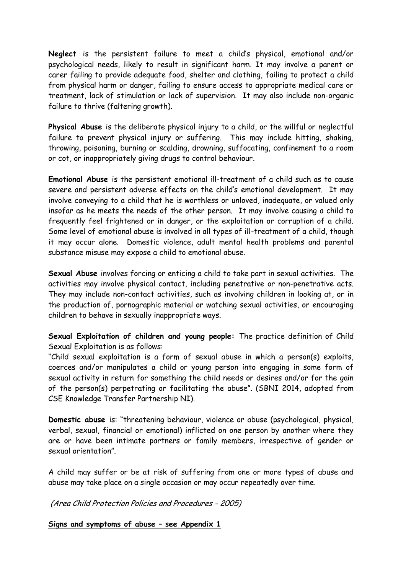**Neglect** is the persistent failure to meet a child's physical, emotional and/or psychological needs, likely to result in significant harm. It may involve a parent or carer failing to provide adequate food, shelter and clothing, failing to protect a child from physical harm or danger, failing to ensure access to appropriate medical care or treatment, lack of stimulation or lack of supervision. It may also include non-organic failure to thrive (faltering growth).

**Physical Abuse** is the deliberate physical injury to a child, or the willful or neglectful failure to prevent physical injury or suffering. This may include hitting, shaking, throwing, poisoning, burning or scalding, drowning, suffocating, confinement to a room or cot, or inappropriately giving drugs to control behaviour.

**Emotional Abuse** is the persistent emotional ill-treatment of a child such as to cause severe and persistent adverse effects on the child's emotional development. It may involve conveying to a child that he is worthless or unloved, inadequate, or valued only insofar as he meets the needs of the other person. It may involve causing a child to frequently feel frightened or in danger, or the exploitation or corruption of a child. Some level of emotional abuse is involved in all types of ill-treatment of a child, though it may occur alone. Domestic violence, adult mental health problems and parental substance misuse may expose a child to emotional abuse.

**Sexual Abuse** involves forcing or enticing a child to take part in sexual activities. The activities may involve physical contact, including penetrative or non-penetrative acts. They may include non-contact activities, such as involving children in looking at, or in the production of, pornographic material or watching sexual activities, or encouraging children to behave in sexually inappropriate ways.

**Sexual Exploitation of children and young people:** The practice definition of Child Sexual Exploitation is as follows:

"Child sexual exploitation is a form of sexual abuse in which a person(s) exploits, coerces and/or manipulates a child or young person into engaging in some form of sexual activity in return for something the child needs or desires and/or for the gain of the person(s) perpetrating or facilitating the abuse". (SBNI 2014, adopted from CSE Knowledge Transfer Partnership NI).

**Domestic abuse** is: "threatening behaviour, violence or abuse (psychological, physical, verbal, sexual, financial or emotional) inflicted on one person by another where they are or have been intimate partners or family members, irrespective of gender or sexual orientation".

A child may suffer or be at risk of suffering from one or more types of abuse and abuse may take place on a single occasion or may occur repeatedly over time.

(Area Child Protection Policies and Procedures - 2005)

**Signs and symptoms of abuse – see Appendix 1**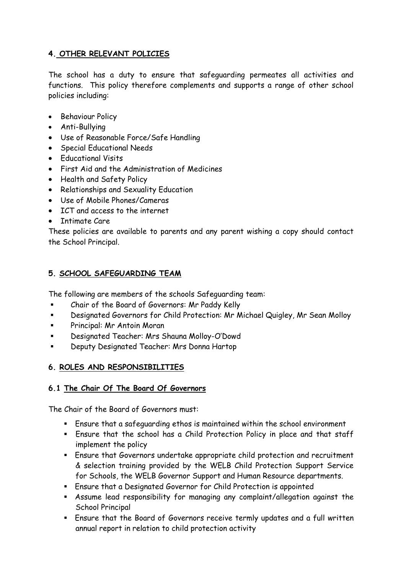#### **4. OTHER RELEVANT POLICIES**

The school has a duty to ensure that safeguarding permeates all activities and functions. This policy therefore complements and supports a range of other school policies including:

- Behaviour Policy
- Anti-Bullying
- Use of Reasonable Force/Safe Handling
- Special Educational Needs
- Educational Visits
- First Aid and the Administration of Medicines
- Health and Safety Policy
- Relationships and Sexuality Education
- Use of Mobile Phones/Cameras
- ICT and access to the internet
- Intimate Care

These policies are available to parents and any parent wishing a copy should contact the School Principal.

#### **5. SCHOOL SAFEGUARDING TEAM**

The following are members of the schools Safeguarding team:

- Chair of the Board of Governors: Mr Paddy Kelly
- Designated Governors for Child Protection: Mr Michael Quigley, Mr Sean Molloy
- Principal: Mr Antoin Moran
- Designated Teacher: Mrs Shauna Molloy-O'Dowd
- Deputy Designated Teacher: Mrs Donna Hartop

#### **6. ROLES AND RESPONSIBILITIES**

#### **6.1 The Chair Of The Board Of Governors**

The Chair of the Board of Governors must:

- Ensure that a safeguarding ethos is maintained within the school environment
- Ensure that the school has a Child Protection Policy in place and that staff implement the policy
- Ensure that Governors undertake appropriate child protection and recruitment & selection training provided by the WELB Child Protection Support Service for Schools, the WELB Governor Support and Human Resource departments.
- Ensure that a Designated Governor for Child Protection is appointed
- Assume lead responsibility for managing any complaint/allegation against the School Principal
- Ensure that the Board of Governors receive termly updates and a full written annual report in relation to child protection activity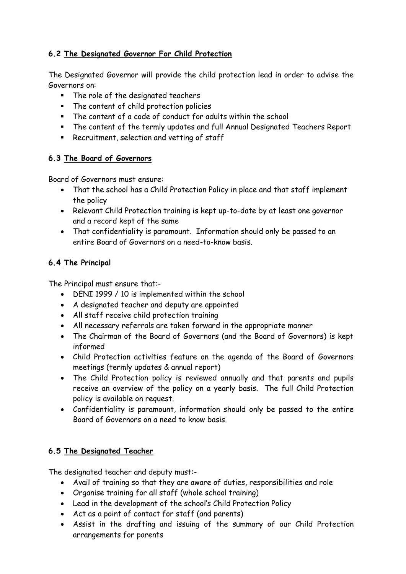#### **6.2 The Designated Governor For Child Protection**

The Designated Governor will provide the child protection lead in order to advise the Governors on:

- The role of the designated teachers
- The content of child protection policies
- The content of a code of conduct for adults within the school
- The content of the termly updates and full Annual Designated Teachers Report
- **Recruitment, selection and vetting of staff**

#### **6.3 The Board of Governors**

Board of Governors must ensure:

- That the school has a Child Protection Policy in place and that staff implement the policy
- Relevant Child Protection training is kept up-to-date by at least one governor and a record kept of the same
- That confidentiality is paramount. Information should only be passed to an entire Board of Governors on a need-to-know basis.

#### **6.4 The Principal**

The Principal must ensure that:-

- DENI 1999 / 10 is implemented within the school
- A designated teacher and deputy are appointed
- All staff receive child protection training
- All necessary referrals are taken forward in the appropriate manner
- The Chairman of the Board of Governors (and the Board of Governors) is kept informed
- Child Protection activities feature on the agenda of the Board of Governors meetings (termly updates & annual report)
- The Child Protection policy is reviewed annually and that parents and pupils receive an overview of the policy on a yearly basis. The full Child Protection policy is available on request.
- Confidentiality is paramount, information should only be passed to the entire Board of Governors on a need to know basis.

#### **6.5 The Designated Teacher**

The designated teacher and deputy must:-

- Avail of training so that they are aware of duties, responsibilities and role
- Organise training for all staff (whole school training)
- Lead in the development of the school's Child Protection Policy
- Act as a point of contact for staff (and parents)
- Assist in the drafting and issuing of the summary of our Child Protection arrangements for parents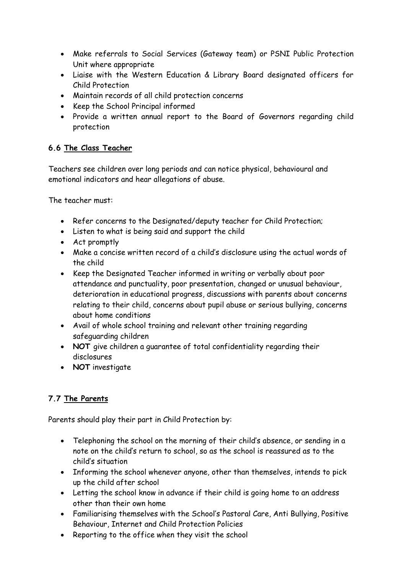- Make referrals to Social Services (Gateway team) or PSNI Public Protection Unit where appropriate
- Liaise with the Western Education & Library Board designated officers for Child Protection
- Maintain records of all child protection concerns
- Keep the School Principal informed
- Provide a written annual report to the Board of Governors regarding child protection

### **6.6 The Class Teacher**

Teachers see children over long periods and can notice physical, behavioural and emotional indicators and hear allegations of abuse.

The teacher must:

- Refer concerns to the Designated/deputy teacher for Child Protection;
- Listen to what is being said and support the child
- Act promptly
- Make a concise written record of a child's disclosure using the actual words of the child
- Keep the Designated Teacher informed in writing or verbally about poor attendance and punctuality, poor presentation, changed or unusual behaviour, deterioration in educational progress, discussions with parents about concerns relating to their child, concerns about pupil abuse or serious bullying, concerns about home conditions
- Avail of whole school training and relevant other training regarding safeguarding children
- **NOT** give children a guarantee of total confidentiality regarding their disclosures
- **NOT** investigate

### **7.7 The Parents**

Parents should play their part in Child Protection by:

- Telephoning the school on the morning of their child's absence, or sending in a note on the child's return to school, so as the school is reassured as to the child's situation
- Informing the school whenever anyone, other than themselves, intends to pick up the child after school
- Letting the school know in advance if their child is going home to an address other than their own home
- Familiarising themselves with the School's Pastoral Care, Anti Bullying, Positive Behaviour, Internet and Child Protection Policies
- Reporting to the office when they visit the school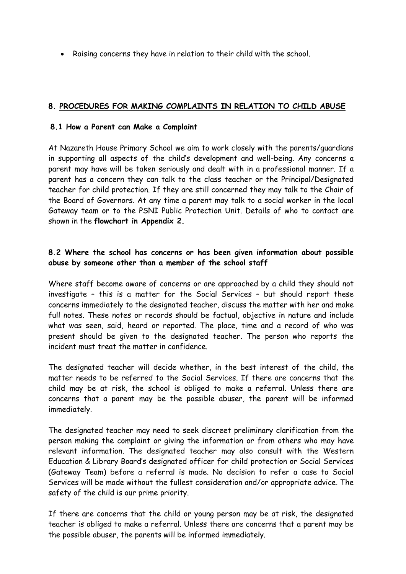Raising concerns they have in relation to their child with the school.

#### **8. PROCEDURES FOR MAKING COMPLAINTS IN RELATION TO CHILD ABUSE**

#### **8.1 How a Parent can Make a Complaint**

At Nazareth House Primary School we aim to work closely with the parents/guardians in supporting all aspects of the child's development and well-being. Any concerns a parent may have will be taken seriously and dealt with in a professional manner. If a parent has a concern they can talk to the class teacher or the Principal/Designated teacher for child protection. If they are still concerned they may talk to the Chair of the Board of Governors. At any time a parent may talk to a social worker in the local Gateway team or to the PSNI Public Protection Unit. Details of who to contact are shown in the **flowchart in Appendix 2.**

#### **8.2 Where the school has concerns or has been given information about possible abuse by someone other than a member of the school staff**

Where staff become aware of concerns or are approached by a child they should not investigate – this is a matter for the Social Services – but should report these concerns immediately to the designated teacher, discuss the matter with her and make full notes. These notes or records should be factual, objective in nature and include what was seen, said, heard or reported. The place, time and a record of who was present should be given to the designated teacher. The person who reports the incident must treat the matter in confidence.

The designated teacher will decide whether, in the best interest of the child, the matter needs to be referred to the Social Services. If there are concerns that the child may be at risk, the school is obliged to make a referral. Unless there are concerns that a parent may be the possible abuser, the parent will be informed immediately.

The designated teacher may need to seek discreet preliminary clarification from the person making the complaint or giving the information or from others who may have relevant information. The designated teacher may also consult with the Western Education & Library Board's designated officer for child protection or Social Services (Gateway Team) before a referral is made. No decision to refer a case to Social Services will be made without the fullest consideration and/or appropriate advice. The safety of the child is our prime priority.

If there are concerns that the child or young person may be at risk, the designated teacher is obliged to make a referral. Unless there are concerns that a parent may be the possible abuser, the parents will be informed immediately.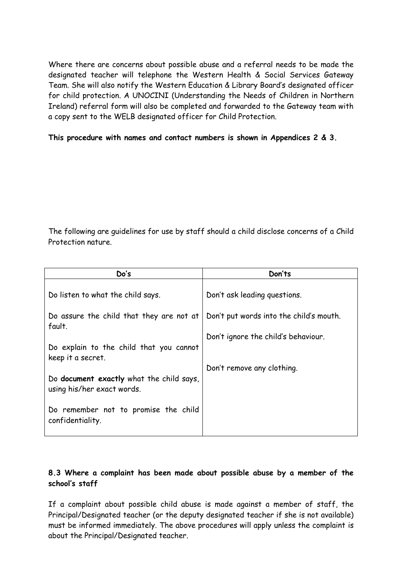Where there are concerns about possible abuse and a referral needs to be made the designated teacher will telephone the Western Health & Social Services Gateway Team. She will also notify the Western Education & Library Board's designated officer for child protection. A UNOCINI (Understanding the Needs of Children in Northern Ireland) referral form will also be completed and forwarded to the Gateway team with a copy sent to the WELB designated officer for Child Protection.

#### **This procedure with names and contact numbers is shown in Appendices 2 & 3.**

The following are guidelines for use by staff should a child disclose concerns of a Child Protection nature.

| Do's                                                                          | Don'ts                                  |
|-------------------------------------------------------------------------------|-----------------------------------------|
| Do listen to what the child says.                                             | Don't ask leading questions.            |
| Do assure the child that they are not at<br>fault.                            | Don't put words into the child's mouth. |
|                                                                               | Don't ignore the child's behaviour.     |
| Do explain to the child that you cannot<br>keep it a secret.                  |                                         |
|                                                                               | Don't remove any clothing.              |
| Do <b>document exactly</b> what the child says,<br>using his/her exact words. |                                         |
| Do remember not to promise the child<br>confidentiality.                      |                                         |

#### **8.3 Where a complaint has been made about possible abuse by a member of the school's staff**

If a complaint about possible child abuse is made against a member of staff, the Principal/Designated teacher (or the deputy designated teacher if she is not available) must be informed immediately. The above procedures will apply unless the complaint is about the Principal/Designated teacher.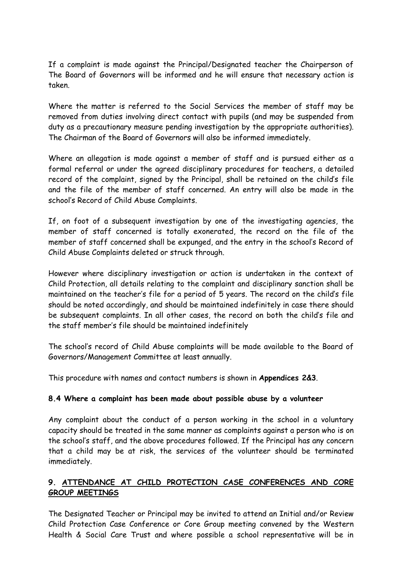If a complaint is made against the Principal/Designated teacher the Chairperson of The Board of Governors will be informed and he will ensure that necessary action is taken.

Where the matter is referred to the Social Services the member of staff may be removed from duties involving direct contact with pupils (and may be suspended from duty as a precautionary measure pending investigation by the appropriate authorities). The Chairman of the Board of Governors will also be informed immediately.

Where an allegation is made against a member of staff and is pursued either as a formal referral or under the agreed disciplinary procedures for teachers, a detailed record of the complaint, signed by the Principal, shall be retained on the child's file and the file of the member of staff concerned. An entry will also be made in the school's Record of Child Abuse Complaints.

If, on foot of a subsequent investigation by one of the investigating agencies, the member of staff concerned is totally exonerated, the record on the file of the member of staff concerned shall be expunged, and the entry in the school's Record of Child Abuse Complaints deleted or struck through.

However where disciplinary investigation or action is undertaken in the context of Child Protection, all details relating to the complaint and disciplinary sanction shall be maintained on the teacher's file for a period of 5 years. The record on the child's file should be noted accordingly, and should be maintained indefinitely in case there should be subsequent complaints. In all other cases, the record on both the child's file and the staff member's file should be maintained indefinitely

The school's record of Child Abuse complaints will be made available to the Board of Governors/Management Committee at least annually.

This procedure with names and contact numbers is shown in **Appendices 2&3**.

#### **8.4 Where a complaint has been made about possible abuse by a volunteer**

Any complaint about the conduct of a person working in the school in a voluntary capacity should be treated in the same manner as complaints against a person who is on the school's staff, and the above procedures followed. If the Principal has any concern that a child may be at risk, the services of the volunteer should be terminated immediately.

#### **9. ATTENDANCE AT CHILD PROTECTION CASE CONFERENCES AND CORE GROUP MEETINGS**

The Designated Teacher or Principal may be invited to attend an Initial and/or Review Child Protection Case Conference or Core Group meeting convened by the Western Health & Social Care Trust and where possible a school representative will be in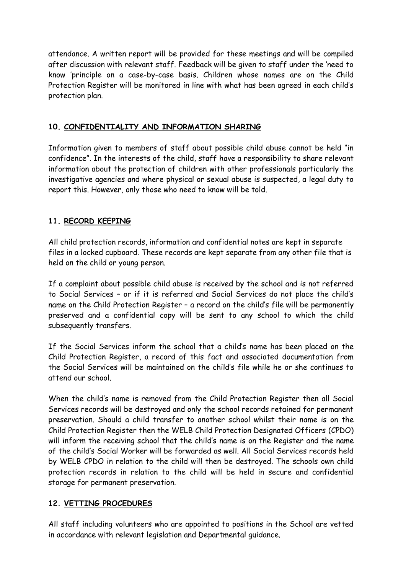attendance. A written report will be provided for these meetings and will be compiled after discussion with relevant staff. Feedback will be given to staff under the 'need to know 'principle on a case-by-case basis. Children whose names are on the Child Protection Register will be monitored in line with what has been agreed in each child's protection plan.

#### **10. CONFIDENTIALITY AND INFORMATION SHARING**

Information given to members of staff about possible child abuse cannot be held "in confidence". In the interests of the child, staff have a responsibility to share relevant information about the protection of children with other professionals particularly the investigative agencies and where physical or sexual abuse is suspected, a legal duty to report this. However, only those who need to know will be told.

#### **11. RECORD KEEPING**

All child protection records, information and confidential notes are kept in separate files in a locked cupboard. These records are kept separate from any other file that is held on the child or young person.

If a complaint about possible child abuse is received by the school and is not referred to Social Services – or if it is referred and Social Services do not place the child's name on the Child Protection Register – a record on the child's file will be permanently preserved and a confidential copy will be sent to any school to which the child subsequently transfers.

If the Social Services inform the school that a child's name has been placed on the Child Protection Register, a record of this fact and associated documentation from the Social Services will be maintained on the child's file while he or she continues to attend our school.

When the child's name is removed from the Child Protection Register then all Social Services records will be destroyed and only the school records retained for permanent preservation. Should a child transfer to another school whilst their name is on the Child Protection Register then the WELB Child Protection Designated Officers (CPDO) will inform the receiving school that the child's name is on the Register and the name of the child's Social Worker will be forwarded as well. All Social Services records held by WELB CPDO in relation to the child will then be destroyed. The schools own child protection records in relation to the child will be held in secure and confidential storage for permanent preservation.

#### **12. VETTING PROCEDURES**

All staff including volunteers who are appointed to positions in the School are vetted in accordance with relevant legislation and Departmental guidance.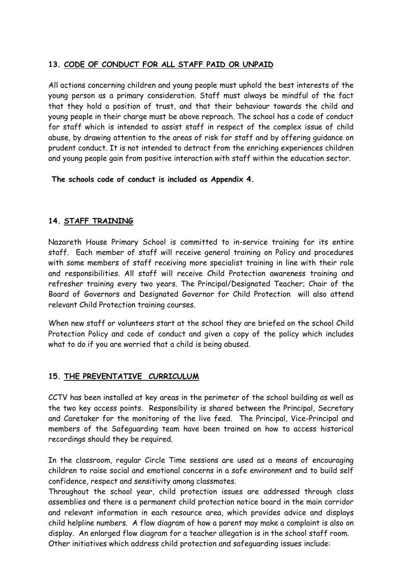#### **13. CODE OF CONDUCT FOR ALL STAFF PAID OR UNPAID**

All actions concerning children and young people must uphold the best interests of the young person as a primary consideration. Staff must always be mindful of the fact that they hold a position of trust, and that their behaviour towards the child and young people in their charge must be above reproach. The school has a code of conduct for staff which is intended to assist staff in respect of the complex issue of child abuse, by drawing attention to the areas of risk for staff and by offering guidance on prudent conduct. It is not intended to detract from the enriching experiences children and young people gain from positive interaction with staff within the education sector.

**The schools code of conduct is included as Appendix 4.** 

#### **14. STAFF TRAINING**

Nazareth House Primary School is committed to in-service training for its entire staff. Each member of staff will receive general training on Policy and procedures with some members of staff receiving more specialist training in line with their role and responsibilities. All staff will receive Child Protection awareness training and refresher training every two years. The Principal/Designated Teacher; Chair of the Board of Governors and Designated Governor for Child Protection will also attend relevant Child Protection training courses.

When new staff or volunteers start at the school they are briefed on the school Child Protection Policy and code of conduct and given a copy of the policy which includes what to do if you are worried that a child is being abused.

#### **15. THE PREVENTATIVE CURRICULUM**

CCTV has been installed at key areas in the perimeter of the school building as well as the two key access points. Responsibility is shared between the Principal, Secretary and Caretaker for the monitoring of the live feed. The Principal, Vice-Principal and members of the Safeguarding team have been trained on how to access historical recordings should they be required.

In the classroom, regular Circle Time sessions are used as a means of encouraging children to raise social and emotional concerns in a safe environment and to build self confidence, respect and sensitivity among classmates.

Throughout the school year, child protection issues are addressed through class assemblies and there is a permanent child protection notice board in the main corridor and relevant information in each resource area, which provides advice and displays child helpline numbers. A flow diagram of how a parent may make a complaint is also on display. An enlarged flow diagram for a teacher allegation is in the school staff room. Other initiatives which address child protection and safeguarding issues include: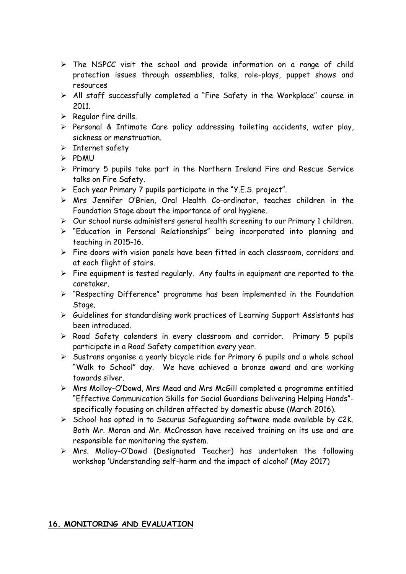- $\triangleright$  The NSPCC visit the school and provide information on a range of child protection issues through assemblies, talks, role-plays, puppet shows and resources
- All staff successfully completed a "Fire Safety in the Workplace" course in 2011.
- $\triangleright$  Regular fire drills.
- $\triangleright$  Personal & Intimate Care policy addressing toileting accidents, water play, sickness or menstruation.
- $\triangleright$  Internet safety
- $>$  PDMU
- $\triangleright$  Primary 5 pupils take part in the Northern Ireland Fire and Rescue Service talks on Fire Safety.
- Each year Primary 7 pupils participate in the "Y.E.S. project".
- Mrs Jennifer O'Brien, Oral Health Co-ordinator, teaches children in the Foundation Stage about the importance of oral hygiene.
- $\triangleright$  Our school nurse administers general health screening to our Primary 1 children.
- "Education in Personal Relationships" being incorporated into planning and teaching in 2015-16.
- $\triangleright$  Fire doors with vision panels have been fitted in each classroom, corridors and at each flight of stairs.
- $\triangleright$  Fire equipment is tested regularly. Any faults in equipment are reported to the caretaker.
- "Respecting Difference" programme has been implemented in the Foundation Stage.
- $\triangleright$  Guidelines for standardising work practices of Learning Support Assistants has been introduced.
- $\triangleright$  Road Safety calenders in every classroom and corridor. Primary 5 pupils participate in a Road Safety competition every year.
- $\triangleright$  Sustrans organise a yearly bicycle ride for Primary 6 pupils and a whole school "Walk to School" day. We have achieved a bronze award and are working towards silver.
- Mrs Molloy-O'Dowd, Mrs Mead and Mrs McGill completed a programme entitled "Effective Communication Skills for Social Guardians Delivering Helping Hands" specifically focusing on children affected by domestic abuse (March 2016).
- $\triangleright$  School has opted in to Securus Safeguarding software made available by C2K. Both Mr. Moran and Mr. McCrossan have received training on its use and are responsible for monitoring the system.
- Mrs. Molloy-O'Dowd (Designated Teacher) has undertaken the following workshop 'Understanding self-harm and the impact of alcohol' (May 2017)

#### **16. MONITORING AND EVALUATION**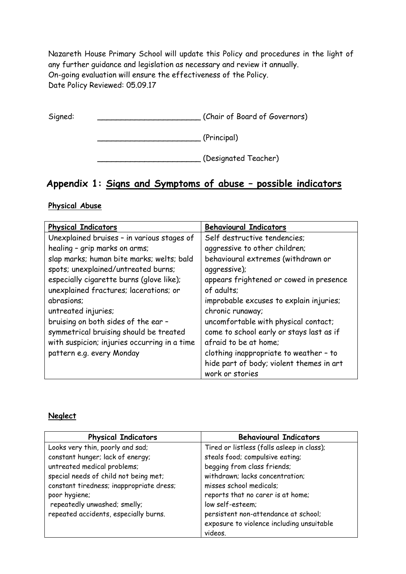Nazareth House Primary School will update this Policy and procedures in the light of any further guidance and legislation as necessary and review it annually. On-going evaluation will ensure the effectiveness of the Policy. Date Policy Reviewed: 05.09.17

Signed: \_\_\_\_\_\_\_\_\_\_\_\_\_\_\_\_\_\_\_\_\_\_ (Chair of Board of Governors)

\_\_\_\_\_\_\_\_\_\_\_\_\_\_\_\_\_\_\_\_\_\_ (Principal)

\_\_\_\_\_\_\_\_\_\_\_\_\_\_\_\_\_\_\_\_\_\_ (Designated Teacher)

# **Appendix 1: Signs and Symptoms of abuse – possible indicators**

#### **Physical Abuse**

| <b>Physical Indicators</b>                   | <b>Behavioural Indicators</b>            |
|----------------------------------------------|------------------------------------------|
| Unexplained bruises - in various stages of   | Self destructive tendencies;             |
| healing - grip marks on arms;                | aggressive to other children;            |
| slap marks; human bite marks; welts; bald    | behavioural extremes (withdrawn or       |
| spots; unexplained/untreated burns;          | aggressive);                             |
| especially cigarette burns (glove like);     | appears frightened or cowed in presence  |
| unexplained fractures; lacerations; or       | of adults;                               |
| abrasions;                                   | improbable excuses to explain injuries;  |
| untreated injuries;                          | chronic runaway;                         |
| bruising on both sides of the ear -          | uncomfortable with physical contact;     |
| symmetrical bruising should be treated       | come to school early or stays last as if |
| with suspicion; injuries occurring in a time | afraid to be at home:                    |
| pattern e.g. every Monday                    | clothing inappropriate to weather - to   |
|                                              | hide part of body; violent themes in art |
|                                              | work or stories                          |

#### **Neglect**

| <b>Physical Indicators</b>               | <b>Behavioural Indicators</b>              |
|------------------------------------------|--------------------------------------------|
| Looks very thin, poorly and sad;         | Tired or listless (falls asleep in class); |
| constant hunger; lack of energy;         | steals food; compulsive eating;            |
| untreated medical problems;              | begging from class friends;                |
| special needs of child not being met;    | withdrawn; lacks concentration;            |
| constant tiredness; inappropriate dress; | misses school medicals;                    |
| poor hygiene;                            | reports that no carer is at home;          |
| repeatedly unwashed; smelly;             | low self-esteem;                           |
| repeated accidents, especially burns.    | persistent non-attendance at school;       |
|                                          | exposure to violence including unsuitable  |
|                                          | videos.                                    |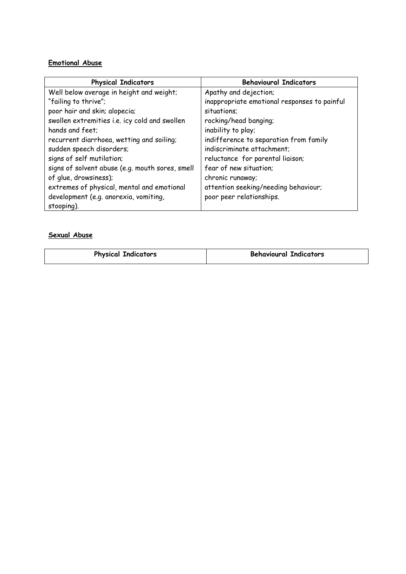#### **Emotional Abuse**

| <b>Physical Indicators</b>                      | <b>Behavioural Indicators</b>                |
|-------------------------------------------------|----------------------------------------------|
| Well below average in height and weight;        | Apathy and dejection;                        |
| "failing to thrive";                            | inappropriate emotional responses to painful |
| poor hair and skin; alopecia;                   | situations;                                  |
| swollen extremities i.e. icy cold and swollen   | rocking/head banging;                        |
| hands and feet;                                 | inability to play;                           |
| recurrent diarrhoea, wetting and soiling;       | indifference to separation from family       |
| sudden speech disorders;                        | indiscriminate attachment;                   |
| signs of self mutilation;                       | reluctance for parental liaison;             |
| signs of solvent abuse (e.g. mouth sores, smell | fear of new situation;                       |
| of glue, drowsiness);                           | chronic runaway;                             |
| extremes of physical, mental and emotional      | attention seeking/needing behaviour;         |
| development (e.g. anorexia, vomiting,           | poor peer relationships.                     |
| stooping).                                      |                                              |

#### **Sexual Abuse**

| <b>Physical Indicators</b> | <b>Behavioural Indicators</b> |
|----------------------------|-------------------------------|
|                            |                               |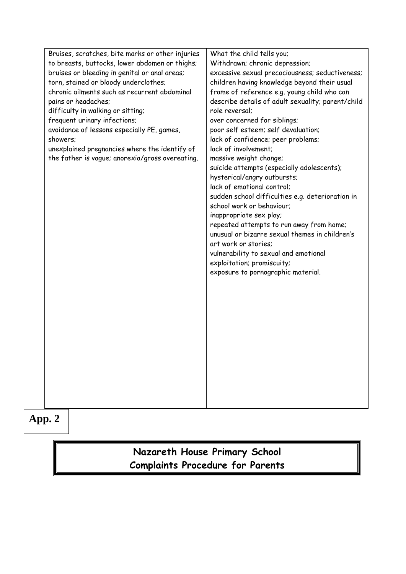| Bruises, scratches, bite marks or other injuries | What the child tells you;                                                     |
|--------------------------------------------------|-------------------------------------------------------------------------------|
| to breasts, buttocks, lower abdomen or thighs;   | Withdrawn; chronic depression;                                                |
| bruises or bleeding in genital or anal areas;    | excessive sexual precociousness; seductiveness;                               |
| torn, stained or bloody underclothes;            | children having knowledge beyond their usual                                  |
| chronic ailments such as recurrent abdominal     | frame of reference e.g. young child who can                                   |
| pains or headaches;                              | describe details of adult sexuality; parent/child                             |
| difficulty in walking or sitting;                | role reversal;                                                                |
| frequent urinary infections;                     | over concerned for siblings;                                                  |
| avoidance of lessons especially PE, games,       | poor self esteem; self devaluation;                                           |
| showers;                                         | lack of confidence; peer problems;                                            |
| unexplained pregnancies where the identify of    | lack of involvement;                                                          |
| the father is vague; anorexia/gross overeating.  | massive weight change;                                                        |
|                                                  | suicide attempts (especially adolescents);                                    |
|                                                  | hysterical/angry outbursts;                                                   |
|                                                  | lack of emotional control:                                                    |
|                                                  |                                                                               |
|                                                  | sudden school difficulties e.g. deterioration in<br>school work or behaviour; |
|                                                  |                                                                               |
|                                                  | inappropriate sex play;                                                       |
|                                                  | repeated attempts to run away from home;                                      |
|                                                  | unusual or bizarre sexual themes in children's                                |
|                                                  | art work or stories;                                                          |
|                                                  | vulnerability to sexual and emotional                                         |
|                                                  | exploitation; promiscuity;                                                    |
|                                                  | exposure to pornographic material.                                            |
|                                                  |                                                                               |
|                                                  |                                                                               |
|                                                  |                                                                               |
|                                                  |                                                                               |
|                                                  |                                                                               |
|                                                  |                                                                               |
|                                                  |                                                                               |
|                                                  |                                                                               |
|                                                  |                                                                               |
|                                                  |                                                                               |
|                                                  |                                                                               |
|                                                  |                                                                               |
|                                                  |                                                                               |
|                                                  |                                                                               |

**App. 2**

# **Nazareth House Primary School Complaints Procedure for Parents**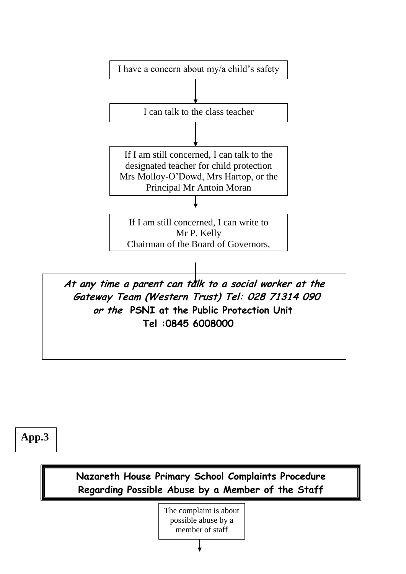

**App.3**

**Nazareth House Primary School Complaints Procedure Regarding Possible Abuse by a Member of the Staff**

> possible abuse by a The complaint is about member of staff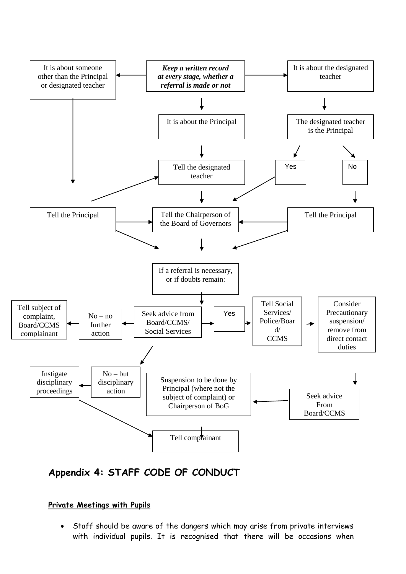

# **Appendix 4: STAFF CODE OF CONDUCT**

#### **Private Meetings with Pupils**

 Staff should be aware of the dangers which may arise from private interviews with individual pupils. It is recognised that there will be occasions when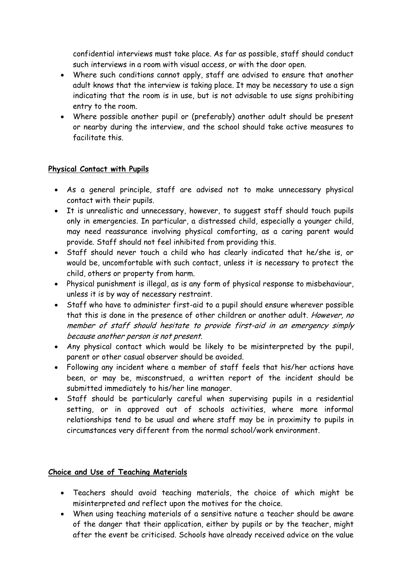confidential interviews must take place. As far as possible, staff should conduct such interviews in a room with visual access, or with the door open.

- Where such conditions cannot apply, staff are advised to ensure that another adult knows that the interview is taking place. It may be necessary to use a sign indicating that the room is in use, but is not advisable to use signs prohibiting entry to the room.
- Where possible another pupil or (preferably) another adult should be present or nearby during the interview, and the school should take active measures to facilitate this.

#### **Physical Contact with Pupils**

- As a general principle, staff are advised not to make unnecessary physical contact with their pupils.
- It is unrealistic and unnecessary, however, to suggest staff should touch pupils only in emergencies. In particular, a distressed child, especially a younger child, may need reassurance involving physical comforting, as a caring parent would provide. Staff should not feel inhibited from providing this.
- Staff should never touch a child who has clearly indicated that he/she is, or would be, uncomfortable with such contact, unless it is necessary to protect the child, others or property from harm.
- Physical punishment is illegal, as is any form of physical response to misbehaviour, unless it is by way of necessary restraint.
- Staff who have to administer first-aid to a pupil should ensure wherever possible that this is done in the presence of other children or another adult. However, no member of staff should hesitate to provide first-aid in an emergency simply because another person is not present.
- Any physical contact which would be likely to be misinterpreted by the pupil, parent or other casual observer should be avoided.
- Following any incident where a member of staff feels that his/her actions have been, or may be, misconstrued, a written report of the incident should be submitted immediately to his/her line manager.
- Staff should be particularly careful when supervising pupils in a residential setting, or in approved out of schools activities, where more informal relationships tend to be usual and where staff may be in proximity to pupils in circumstances very different from the normal school/work environment.

#### **Choice and Use of Teaching Materials**

- Teachers should avoid teaching materials, the choice of which might be misinterpreted and reflect upon the motives for the choice.
- When using teaching materials of a sensitive nature a teacher should be aware of the danger that their application, either by pupils or by the teacher, might after the event be criticised. Schools have already received advice on the value